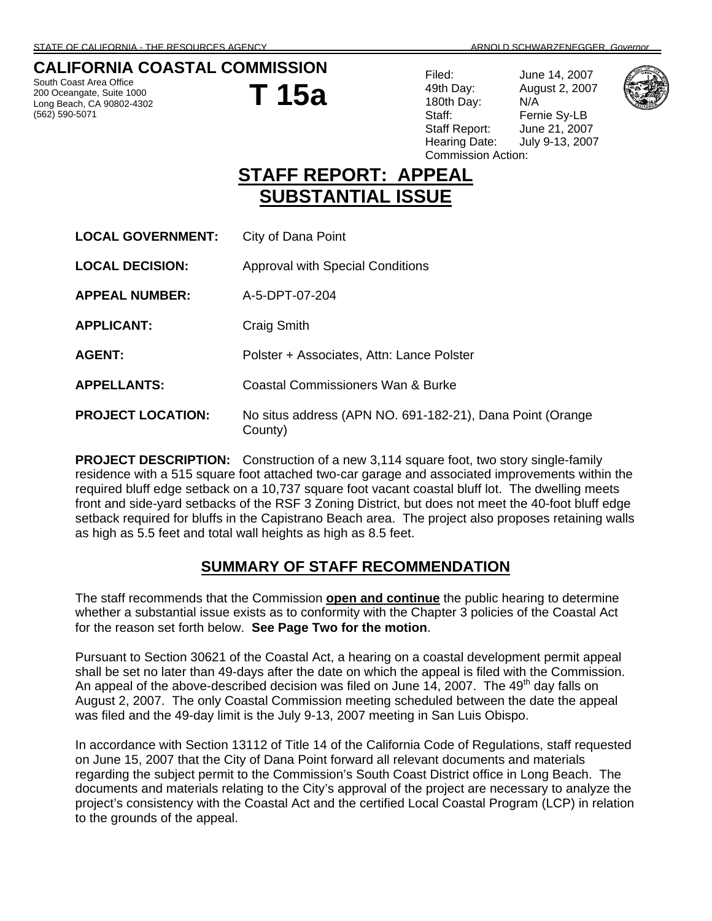## **CALIFORNIA COASTAL COMMISSION**  South Coast Area Office

200 Oceangate, Suite 1000 Long Beach, CA 90802-4302 (562) 590-5071



Filed: June 14, 2007 49th Day: August 2, 2007 180th Day: N/A Staff: Fernie Sy-LB Staff Report: June 21, 2007 Hearing Date: July 9-13, 2007 Commission Action:



## **STAFF REPORT: APPEAL SUBSTANTIAL ISSUE**

| <b>LOCAL GOVERNMENT:</b> | City of Dana Point                                                   |
|--------------------------|----------------------------------------------------------------------|
| <b>LOCAL DECISION:</b>   | <b>Approval with Special Conditions</b>                              |
| <b>APPEAL NUMBER:</b>    | A-5-DPT-07-204                                                       |
| <b>APPLICANT:</b>        | Craig Smith                                                          |
| <b>AGENT:</b>            | Polster + Associates, Attn: Lance Polster                            |
| <b>APPELLANTS:</b>       | Coastal Commissioners Wan & Burke                                    |
| <b>PROJECT LOCATION:</b> | No situs address (APN NO. 691-182-21), Dana Point (Orange<br>County) |

**PROJECT DESCRIPTION:** Construction of a new 3,114 square foot, two story single-family residence with a 515 square foot attached two-car garage and associated improvements within the required bluff edge setback on a 10,737 square foot vacant coastal bluff lot. The dwelling meets front and side-yard setbacks of the RSF 3 Zoning District, but does not meet the 40-foot bluff edge setback required for bluffs in the Capistrano Beach area. The project also proposes retaining walls as high as 5.5 feet and total wall heights as high as 8.5 feet.

## **SUMMARY OF STAFF RECOMMENDATION**

The staff recommends that the Commission **open and continue** the public hearing to determine whether a substantial issue exists as to conformity with the Chapter 3 policies of the Coastal Act for the reason set forth below. **See Page Two for the motion**.

Pursuant to Section 30621 of the Coastal Act, a hearing on a coastal development permit appeal shall be set no later than 49-days after the date on which the appeal is filed with the Commission. An appeal of the above-described decision was filed on June 14, 2007. The 49<sup>th</sup> day falls on August 2, 2007. The only Coastal Commission meeting scheduled between the date the appeal was filed and the 49-day limit is the July 9-13, 2007 meeting in San Luis Obispo.

In accordance with Section 13112 of Title 14 of the California Code of Regulations, staff requested on June 15, 2007 that the City of Dana Point forward all relevant documents and materials regarding the subject permit to the Commission's South Coast District office in Long Beach. The documents and materials relating to the City's approval of the project are necessary to analyze the project's consistency with the Coastal Act and the certified Local Coastal Program (LCP) in relation to the grounds of the appeal.